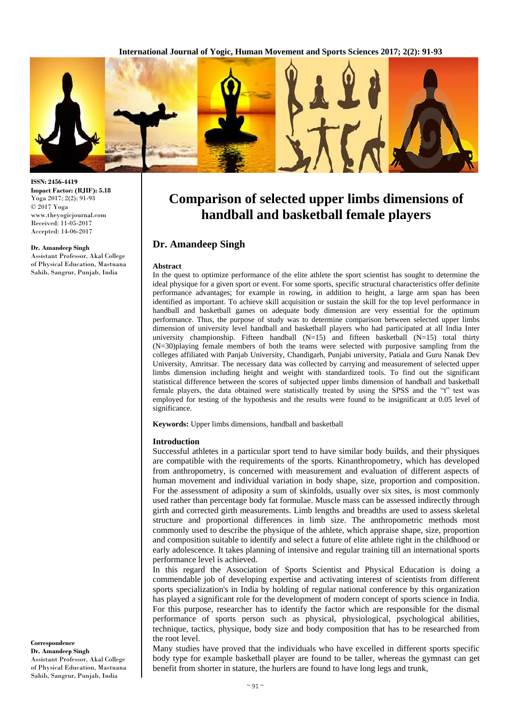

**ISSN: 2456-4419 Impact Factor: (RJIF): 5.18** Yoga 2017; 2(2): 91-93 © 2017 Yoga www.theyogicjournal.com Received: 11-05-2017 Accepted: 14-06-2017

#### **Dr. Amandeep Singh**

Assistant Professor, Akal College of Physical Education, Mastuana Sahib, Sangrur, Punjab, India

**Comparison of selected upper limbs dimensions of handball and basketball female players**

# **Dr. Amandeep Singh**

#### **Abstract**

In the quest to optimize performance of the elite athlete the sport scientist has sought to determine the ideal physique for a given sport or event. For some sports, specific structural characteristics offer definite performance advantages; for example in rowing, in addition to height, a large arm span has been identified as important. To achieve skill acquisition or sustain the skill for the top level performance in handball and basketball games on adequate body dimension are very essential for the optimum performance. Thus, the purpose of study was to determine comparison between selected upper limbs dimension of university level handball and basketball players who had participated at all India Inter university championship. Fifteen handball  $(N=15)$  and fifteen basketball  $(N=15)$  total thirty (N=30)playing female members of both the teams were selected with purposive sampling from the colleges affiliated with Panjab University, Chandigarh, Punjabi university, Patiala and Guru Nanak Dev University, Amritsar. The necessary data was collected by carrying and measurement of selected upper limbs dimension including height and weight with standardized tools. To find out the significant statistical difference between the scores of subjected upper limbs dimension of handball and basketball female players, the data obtained were statistically treated by using the SPSS and the "t" test was employed for testing of the hypothesis and the results were found to be insignificant at 0.05 level of significance.

**Keywords:** Upper limbs dimensions, handball and basketball

### **Introduction**

Successful athletes in a particular sport tend to have similar body builds, and their physiques are compatible with the requirements of the sports. Kinanthropometry, which has developed from anthropometry, is concerned with measurement and evaluation of different aspects of human movement and individual variation in body shape, size, proportion and composition. For the assessment of adiposity a sum of skinfolds, usually over six sites, is most commonly used rather than percentage body fat formulae. Muscle mass can be assessed indirectly through girth and corrected girth measurements. Limb lengths and breadths are used to assess skeletal structure and proportional differences in limb size. The anthropometric methods most commonly used to describe the physique of the athlete, which appraise shape, size, proportion and composition suitable to identify and select a future of elite athlete right in the childhood or early adolescence. It takes planning of intensive and regular training till an international sports performance level is achieved.

In this regard the Association of Sports Scientist and Physical Education is doing a commendable job of developing expertise and activating interest of scientists from different sports specialization's in India by holding of regular national conference by this organization has played a significant role for the development of modern concept of sports science in India. For this purpose, researcher has to identify the factor which are responsible for the dismal performance of sports person such as physical, physiological, psychological abilities, technique, tactics, physique, body size and body composition that has to be researched from the root level.

Many studies have proved that the individuals who have excelled in different sports specific body type for example basketball player are found to be taller, whereas the gymnast can get benefit from shorter in stature, the hurlers are found to have long legs and trunk,

**Correspondence Dr. Amandeep Singh** Assistant Professor, Akal College of Physical Education, Mastuana Sahib, Sangrur, Punjab, India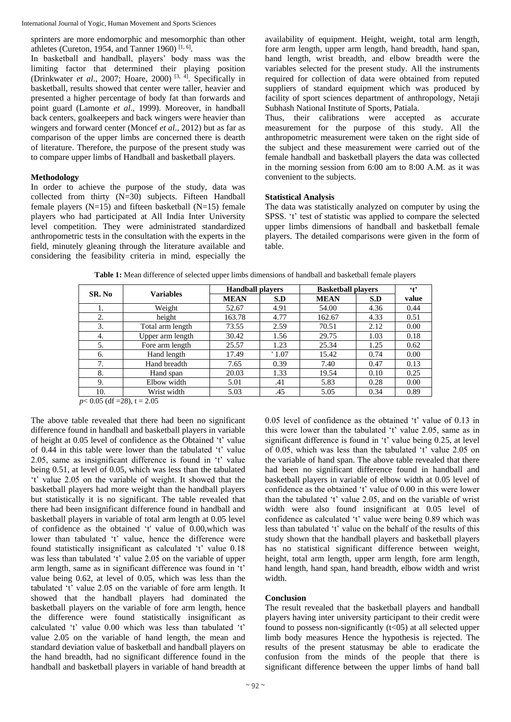sprinters are more endomorphic and mesomorphic than other athletes (Cureton, 1954, and Tanner 1960)<sup>[1, 6]</sup>.

In basketball and handball, players' body mass was the limiting factor that determined their playing position (Drinkwater *et al.*, 2007; Hoare, 2000)<sup>[3, 4]</sup>. Specifically in basketball, results showed that center were taller, heavier and presented a higher percentage of body fat than forwards and point guard (Lamonte *et al*., 1999). Moreover, in handball back centers, goalkeepers and back wingers were heavier than wingers and forward center (Moncef *et al*., 2012) but as far as comparison of the upper limbs are concerned there is dearth of literature. Therefore, the purpose of the present study was to compare upper limbs of Handball and basketball players.

### **Methodology**

In order to achieve the purpose of the study, data was collected from thirty (N=30) subjects. Fifteen Handball female players  $(N=15)$  and fifteen basketball  $(N=15)$  female players who had participated at All India Inter University level competition. They were administrated standardized anthropometric tests in the consultation with the experts in the field, minutely gleaning through the literature available and considering the feasibility criteria in mind, especially the availability of equipment. Height, weight, total arm length, fore arm length, upper arm length, hand breadth, hand span, hand length, wrist breadth, and elbow breadth were the variables selected for the present study. All the instruments required for collection of data were obtained from reputed suppliers of standard equipment which was produced by facility of sport sciences department of anthropology, Netaji Subhash National Institute of Sports, Patiala.

Thus, their calibrations were accepted as accurate measurement for the purpose of this study. All the anthropometric measurement were taken on the right side of the subject and these measurement were carried out of the female handball and basketball players the data was collected in the morning session from 6:00 am to 8:00 A.M. as it was convenient to the subjects.

## **Statistical Analysis**

The data was statistically analyzed on computer by using the SPSS. 't' test of statistic was applied to compare the selected upper limbs dimensions of handball and basketball female players. The detailed comparisons were given in the form of table.

| SR. No | <b>Variables</b> | <b>Handball players</b> |       | <b>Basketball players</b> |      | $\ddot{\mathbf{f}}$ |
|--------|------------------|-------------------------|-------|---------------------------|------|---------------------|
|        |                  | <b>MEAN</b>             | S.D   | <b>MEAN</b>               | S.D  | value               |
| 1.     | Weight           | 52.67                   | 4.91  | 54.00                     | 4.36 | 0.44                |
| 2.     | height           | 163.78                  | 4.77  | 162.67                    | 4.33 | 0.51                |
| 3.     | Total arm length | 73.55                   | 2.59  | 70.51                     | 2.12 | 0.00                |
| 4.     | Upper arm length | 30.42                   | 1.56  | 29.75                     | 1.03 | 0.18                |
| 5.     | Fore arm length  | 25.57                   | 1.23  | 25.34                     | 1.25 | 0.62                |
| 6.     | Hand length      | 17.49                   | '1.07 | 15.42                     | 0.74 | 0.00                |
| 7.     | Hand breadth     | 7.65                    | 0.39  | 7.40                      | 0.47 | 0.13                |
| 8.     | Hand span        | 20.03                   | 1.33  | 19.54                     | 0.10 | 0.25                |
| 9.     | Elbow width      | 5.01                    | .41   | 5.83                      | 0.28 | 0.00                |
| 10.    | Wrist width      | 5.03                    | .45   | 5.05                      | 0.34 | 0.89                |

**Table 1:** Mean difference of selected upper limbs dimensions of handball and basketball female players

*p*< 0.05 (df = 28), t = 2.05

The above table revealed that there had been no significant difference found in handball and basketball players in variable of height at 0.05 level of confidence as the Obtained 't' value of 0.44 in this table were lower than the tabulated 't' value 2.05, same as insignificant difference is found in 't' value being 0.51, at level of 0.05, which was less than the tabulated 't' value 2.05 on the variable of weight. It showed that the basketball players had more weight than the handball players but statistically it is no significant. The table revealed that there had been insignificant difference found in handball and basketball players in variable of total arm length at 0.05 level of confidence as the obtained 't' value of 0.00,which was lower than tabulated 't' value, hence the difference were found statistically insignificant as calculated 't' value 0.18 was less than tabulated 't' value 2.05 on the variable of upper arm length, same as in significant difference was found in 't' value being 0.62, at level of 0.05, which was less than the tabulated 't' value 2.05 on the variable of fore arm length. It showed that the handball players had dominated the basketball players on the variable of fore arm length, hence the difference were found statistically insignificant as calculated 't' value 0.00 which was less than tabulated 't' value 2.05 on the variable of hand length, the mean and standard deviation value of basketball and handball players on the hand breadth, had no significant difference found in the handball and basketball players in variable of hand breadth at 0.05 level of confidence as the obtained 't' value of 0.13 in this were lower than the tabulated 't' value 2.05, same as in significant difference is found in 't' value being 0.25, at level of 0.05, which was less than the tabulated 't' value 2.05 on the variable of hand span. The above table revealed that there had been no significant difference found in handball and basketball players in variable of elbow width at 0.05 level of confidence as the obtained 't' value of 0.00 in this were lower than the tabulated 't' value 2.05, and on the variable of wrist width were also found insignificant at 0.05 level of confidence as calculated 't' value were being 0.89 which was less than tabulated 't' value on the behalf of the results of this study shown that the handball players and basketball players has no statistical significant difference between weight, height, total arm length, upper arm length, fore arm length, hand length, hand span, hand breadth, elbow width and wrist width.

#### **Conclusion**

The result revealed that the basketball players and handball players having inter university participant to their credit were found to possess non-significantly  $(t<0.5)$  at all selected upper limb body measures Hence the hypothesis is rejected. The results of the present statusmay be able to eradicate the confusion from the minds of the people that there is significant difference between the upper limbs of hand ball